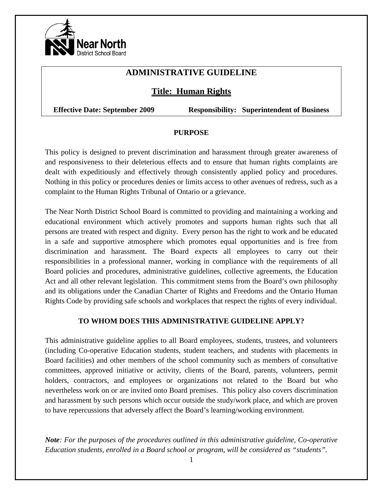

# **ADMINISTRATIVE GUIDELINE**

# **Title: Human Rights**

**Effective Date: September 2009 Responsibility: Superintendent of Business** 

#### **PURPOSE**

This policy is designed to prevent discrimination and harassment through greater awareness of and responsiveness to their deleterious effects and to ensure that human rights complaints are dealt with expeditiously and effectively through consistently applied policy and procedures. Nothing in this policy or procedures denies or limits access to other avenues of redress, such as a complaint to the Human Rights Tribunal of Ontario or a grievance.

The Near North District School Board is committed to providing and maintaining a working and educational environment which actively promotes and supports human rights such that all persons are treated with respect and dignity. Every person has the right to work and be educated in a safe and supportive atmosphere which promotes equal opportunities and is free from discrimination and harassment. The Board expects all employees to carry out their responsibilities in a professional manner, working in compliance with the requirements of all Board policies and procedures, administrative guidelines, collective agreements, the Education Act and all other relevant legislation. This commitment stems from the Board's own philosophy and its obligations under the Canadian Charter of Rights and Freedoms and the Ontario Human Rights Code by providing safe schools and workplaces that respect the rights of every individual.

#### **TO WHOM DOES THIS ADMINISTRATIVE GUIDELINE APPLY?**

This administrative guideline applies to all Board employees, students, trustees, and volunteers (including Co-operative Education students, student teachers, and students with placements in Board facilities) and other members of the school community such as members of consultative committees, approved initiative or activity, clients of the Board, parents, volunteers, permit holders, contractors, and employees or organizations not related to the Board but who nevertheless work on or are invited onto Board premises. This policy also covers discrimination and harassment by such persons which occur outside the study/work place, and which are proven to have repercussions that adversely affect the Board's learning/working environment.

*Note: For the purposes of the procedures outlined in this administrative guideline, Co-operative Education students, enrolled in a Board school or program, will be considered as "students".*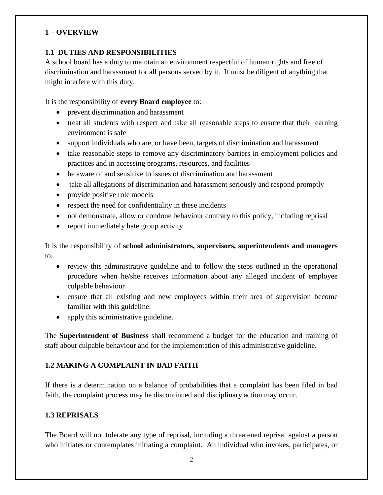#### **1 – OVERVIEW**

### **1.1 DUTIES AND RESPONSIBILITIES**

A school board has a duty to maintain an environment respectful of human rights and free of discrimination and harassment for all persons served by it. It must be diligent of anything that might interfere with this duty.

It is the responsibility of **every Board employee** to:

- prevent discrimination and harassment
- treat all students with respect and take all reasonable steps to ensure that their learning environment is safe
- support individuals who are, or have been, targets of discrimination and harassment
- take reasonable steps to remove any discriminatory barriers in employment policies and practices and in accessing programs, resources, and facilities
- be aware of and sensitive to issues of discrimination and harassment
- take all allegations of discrimination and harassment seriously and respond promptly
- provide positive role models
- respect the need for confidentiality in these incidents
- not demonstrate, allow or condone behaviour contrary to this policy, including reprisal
- report immediately hate group activity

It is the responsibility of **school administrators, supervisors, superintendents and managers** to:

- review this administrative guideline and to follow the steps outlined in the operational procedure when he/she receives information about any alleged incident of employee culpable behaviour
- ensure that all existing and new employees within their area of supervision become familiar with this guideline.
- apply this administrative guideline.

The **Superintendent of Business** shall recommend a budget for the education and training of staff about culpable behaviour and for the implementation of this administrative guideline.

### **1.2 MAKING A COMPLAINT IN BAD FAITH**

If there is a determination on a balance of probabilities that a complaint has been filed in bad faith, the complaint process may be discontinued and disciplinary action may occur.

### **1.3 REPRISALS**

The Board will not tolerate any type of reprisal, including a threatened reprisal against a person who initiates or contemplates initiating a complaint. An individual who invokes, participates, or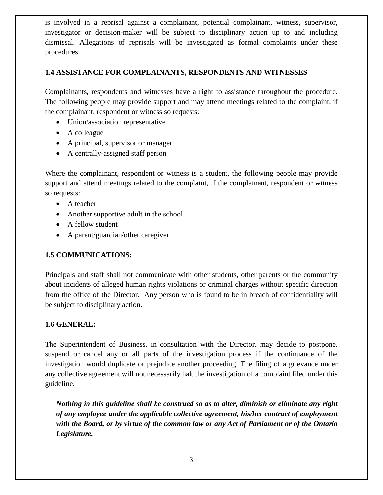is involved in a reprisal against a complainant, potential complainant, witness, supervisor, investigator or decision-maker will be subject to disciplinary action up to and including dismissal. Allegations of reprisals will be investigated as formal complaints under these procedures.

#### **1.4 ASSISTANCE FOR COMPLAINANTS, RESPONDENTS AND WITNESSES**

Complainants, respondents and witnesses have a right to assistance throughout the procedure. The following people may provide support and may attend meetings related to the complaint, if the complainant, respondent or witness so requests:

- Union/association representative
- A colleague
- A principal, supervisor or manager
- A centrally-assigned staff person

Where the complainant, respondent or witness is a student, the following people may provide support and attend meetings related to the complaint, if the complainant, respondent or witness so requests:

- A teacher
- Another supportive adult in the school
- A fellow student
- A parent/guardian/other caregiver

### **1.5 COMMUNICATIONS:**

Principals and staff shall not communicate with other students, other parents or the community about incidents of alleged human rights violations or criminal charges without specific direction from the office of the Director. Any person who is found to be in breach of confidentiality will be subject to disciplinary action.

### **1.6 GENERAL:**

The Superintendent of Business, in consultation with the Director, may decide to postpone, suspend or cancel any or all parts of the investigation process if the continuance of the investigation would duplicate or prejudice another proceeding. The filing of a grievance under any collective agreement will not necessarily halt the investigation of a complaint filed under this guideline.

*Nothing in this guideline shall be construed so as to alter, diminish or eliminate any right of any employee under the applicable collective agreement, his/her contract of employment with the Board, or by virtue of the common law or any Act of Parliament or of the Ontario Legislature.*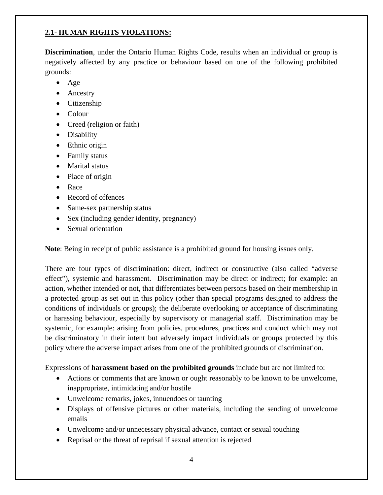### **2.1- HUMAN RIGHTS VIOLATIONS:**

**Discrimination**, under the Ontario Human Rights Code, results when an individual or group is negatively affected by any practice or behaviour based on one of the following prohibited grounds:

- Age
- Ancestry
- Citizenship
- Colour
- Creed (religion or faith)
- Disability
- Ethnic origin
- Family status
- Marital status
- Place of origin
- Race
- Record of offences
- Same-sex partnership status
- Sex (including gender identity, pregnancy)
- Sexual orientation

**Note**: Being in receipt of public assistance is a prohibited ground for housing issues only.

There are four types of discrimination: direct, indirect or constructive (also called "adverse effect"), systemic and harassment. Discrimination may be direct or indirect; for example: an action, whether intended or not, that differentiates between persons based on their membership in a protected group as set out in this policy (other than special programs designed to address the conditions of individuals or groups); the deliberate overlooking or acceptance of discriminating or harassing behaviour, especially by supervisory or managerial staff. Discrimination may be systemic, for example: arising from policies, procedures, practices and conduct which may not be discriminatory in their intent but adversely impact individuals or groups protected by this policy where the adverse impact arises from one of the prohibited grounds of discrimination.

Expressions of **harassment based on the prohibited grounds** include but are not limited to:

- Actions or comments that are known or ought reasonably to be known to be unwelcome, inappropriate, intimidating and/or hostile
- Unwelcome remarks, jokes, innuendoes or taunting
- Displays of offensive pictures or other materials, including the sending of unwelcome emails
- Unwelcome and/or unnecessary physical advance, contact or sexual touching
- Reprisal or the threat of reprisal if sexual attention is rejected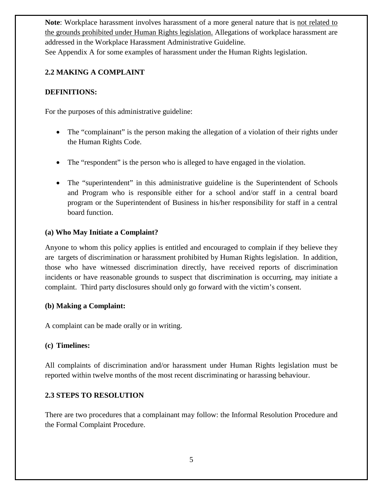**Note**: Workplace harassment involves harassment of a more general nature that is not related to the grounds prohibited under Human Rights legislation. Allegations of workplace harassment are addressed in the Workplace Harassment Administrative Guideline. See Appendix A for some examples of harassment under the Human Rights legislation.

#### **2.2 MAKING A COMPLAINT**

#### **DEFINITIONS:**

For the purposes of this administrative guideline:

- The "complainant" is the person making the allegation of a violation of their rights under the Human Rights Code.
- The "respondent" is the person who is alleged to have engaged in the violation.
- The "superintendent" in this administrative guideline is the Superintendent of Schools and Program who is responsible either for a school and/or staff in a central board program or the Superintendent of Business in his/her responsibility for staff in a central board function.

#### **(a) Who May Initiate a Complaint?**

Anyone to whom this policy applies is entitled and encouraged to complain if they believe they are targets of discrimination or harassment prohibited by Human Rights legislation. In addition, those who have witnessed discrimination directly, have received reports of discrimination incidents or have reasonable grounds to suspect that discrimination is occurring, may initiate a complaint. Third party disclosures should only go forward with the victim's consent.

#### **(b) Making a Complaint:**

A complaint can be made orally or in writing.

#### **(c) Timelines:**

All complaints of discrimination and/or harassment under Human Rights legislation must be reported within twelve months of the most recent discriminating or harassing behaviour.

#### **2.3 STEPS TO RESOLUTION**

There are two procedures that a complainant may follow: the Informal Resolution Procedure and the Formal Complaint Procedure.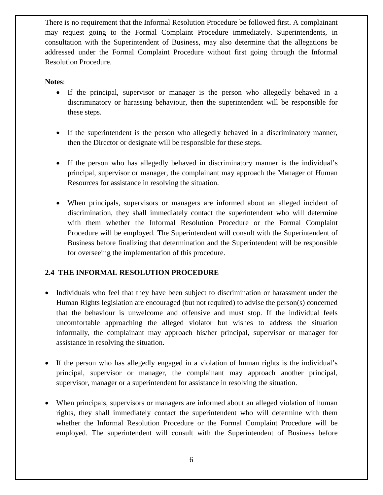There is no requirement that the Informal Resolution Procedure be followed first. A complainant may request going to the Formal Complaint Procedure immediately. Superintendents, in consultation with the Superintendent of Business, may also determine that the allegations be addressed under the Formal Complaint Procedure without first going through the Informal Resolution Procedure.

#### **Notes**:

- If the principal, supervisor or manager is the person who allegedly behaved in a discriminatory or harassing behaviour, then the superintendent will be responsible for these steps.
- If the superintendent is the person who allegedly behaved in a discriminatory manner, then the Director or designate will be responsible for these steps.
- If the person who has allegedly behaved in discriminatory manner is the individual's principal, supervisor or manager, the complainant may approach the Manager of Human Resources for assistance in resolving the situation.
- When principals, supervisors or managers are informed about an alleged incident of discrimination, they shall immediately contact the superintendent who will determine with them whether the Informal Resolution Procedure or the Formal Complaint Procedure will be employed. The Superintendent will consult with the Superintendent of Business before finalizing that determination and the Superintendent will be responsible for overseeing the implementation of this procedure.

#### **2.4 THE INFORMAL RESOLUTION PROCEDURE**

- Individuals who feel that they have been subject to discrimination or harassment under the Human Rights legislation are encouraged (but not required) to advise the person(s) concerned that the behaviour is unwelcome and offensive and must stop. If the individual feels uncomfortable approaching the alleged violator but wishes to address the situation informally, the complainant may approach his/her principal, supervisor or manager for assistance in resolving the situation.
- If the person who has allegedly engaged in a violation of human rights is the individual's principal, supervisor or manager, the complainant may approach another principal, supervisor, manager or a superintendent for assistance in resolving the situation.
- When principals, supervisors or managers are informed about an alleged violation of human rights, they shall immediately contact the superintendent who will determine with them whether the Informal Resolution Procedure or the Formal Complaint Procedure will be employed. The superintendent will consult with the Superintendent of Business before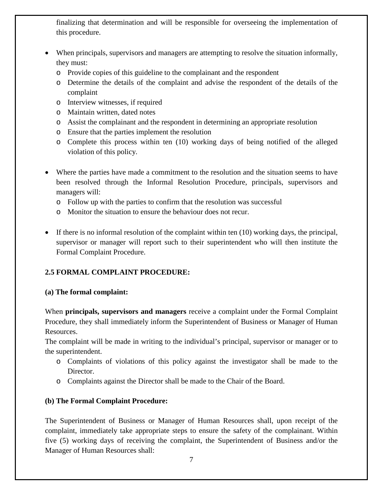finalizing that determination and will be responsible for overseeing the implementation of this procedure.

- When principals, supervisors and managers are attempting to resolve the situation informally, they must:
	- o Provide copies of this guideline to the complainant and the respondent
	- o Determine the details of the complaint and advise the respondent of the details of the complaint
	- o Interview witnesses, if required
	- o Maintain written, dated notes
	- o Assist the complainant and the respondent in determining an appropriate resolution
	- o Ensure that the parties implement the resolution
	- o Complete this process within ten (10) working days of being notified of the alleged violation of this policy.
- Where the parties have made a commitment to the resolution and the situation seems to have been resolved through the Informal Resolution Procedure, principals, supervisors and managers will:
	- o Follow up with the parties to confirm that the resolution was successful
	- o Monitor the situation to ensure the behaviour does not recur.
- If there is no informal resolution of the complaint within ten (10) working days, the principal, supervisor or manager will report such to their superintendent who will then institute the Formal Complaint Procedure.

# **2.5 FORMAL COMPLAINT PROCEDURE:**

### **(a) The formal complaint:**

When **principals, supervisors and managers** receive a complaint under the Formal Complaint Procedure, they shall immediately inform the Superintendent of Business or Manager of Human Resources.

The complaint will be made in writing to the individual's principal, supervisor or manager or to the superintendent.

- o Complaints of violations of this policy against the investigator shall be made to the Director.
- o Complaints against the Director shall be made to the Chair of the Board.

# **(b) The Formal Complaint Procedure:**

The Superintendent of Business or Manager of Human Resources shall, upon receipt of the complaint, immediately take appropriate steps to ensure the safety of the complainant. Within five (5) working days of receiving the complaint, the Superintendent of Business and/or the Manager of Human Resources shall: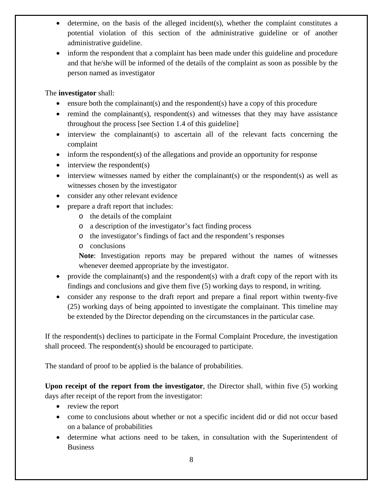- determine, on the basis of the alleged incident(s), whether the complaint constitutes a potential violation of this section of the administrative guideline or of another administrative guideline.
- inform the respondent that a complaint has been made under this guideline and procedure and that he/she will be informed of the details of the complaint as soon as possible by the person named as investigator

The **investigator** shall:

- ensure both the complainant(s) and the respondent(s) have a copy of this procedure
- remind the complainant(s), respondent(s) and witnesses that they may have assistance throughout the process [see Section 1.4 of this guideline]
- interview the complainant(s) to ascertain all of the relevant facts concerning the complaint
- inform the respondent(s) of the allegations and provide an opportunity for response
- $\bullet$  interview the respondent(s)
- interview witnesses named by either the complainant(s) or the respondent(s) as well as witnesses chosen by the investigator
- consider any other relevant evidence
- prepare a draft report that includes:
	- o the details of the complaint
	- o a description of the investigator's fact finding process
	- o the investigator's findings of fact and the respondent's responses
	- o conclusions

**Note**: Investigation reports may be prepared without the names of witnesses whenever deemed appropriate by the investigator.

- provide the complainant(s) and the respondent(s) with a draft copy of the report with its findings and conclusions and give them five (5) working days to respond, in writing.
- consider any response to the draft report and prepare a final report within twenty-five (25) working days of being appointed to investigate the complainant. This timeline may be extended by the Director depending on the circumstances in the particular case.

If the respondent(s) declines to participate in the Formal Complaint Procedure, the investigation shall proceed. The respondent(s) should be encouraged to participate.

The standard of proof to be applied is the balance of probabilities.

**Upon receipt of the report from the investigator**, the Director shall, within five (5) working days after receipt of the report from the investigator:

- review the report
- come to conclusions about whether or not a specific incident did or did not occur based on a balance of probabilities
- determine what actions need to be taken, in consultation with the Superintendent of Business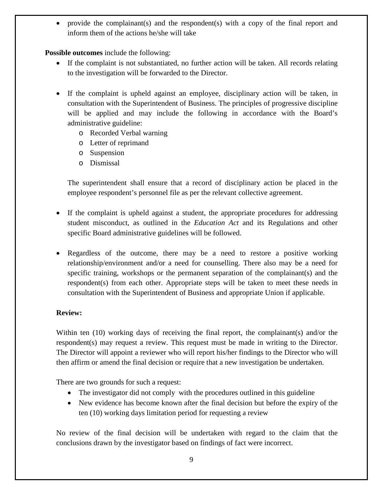• provide the complainant(s) and the respondent(s) with a copy of the final report and inform them of the actions he/she will take

**Possible outcomes** include the following:

- If the complaint is not substantiated, no further action will be taken. All records relating to the investigation will be forwarded to the Director.
- If the complaint is upheld against an employee, disciplinary action will be taken, in consultation with the Superintendent of Business. The principles of progressive discipline will be applied and may include the following in accordance with the Board's administrative guideline:
	- o Recorded Verbal warning
	- o Letter of reprimand
	- o Suspension
	- o Dismissal

The superintendent shall ensure that a record of disciplinary action be placed in the employee respondent's personnel file as per the relevant collective agreement.

- If the complaint is upheld against a student, the appropriate procedures for addressing student misconduct, as outlined in the *Education Act* and its Regulations and other specific Board administrative guidelines will be followed.
- Regardless of the outcome, there may be a need to restore a positive working relationship/environment and/or a need for counselling. There also may be a need for specific training, workshops or the permanent separation of the complainant(s) and the respondent(s) from each other. Appropriate steps will be taken to meet these needs in consultation with the Superintendent of Business and appropriate Union if applicable.

### **Review:**

Within ten (10) working days of receiving the final report, the complainant(s) and/or the respondent(s) may request a review. This request must be made in writing to the Director. The Director will appoint a reviewer who will report his/her findings to the Director who will then affirm or amend the final decision or require that a new investigation be undertaken.

There are two grounds for such a request:

- The investigator did not comply with the procedures outlined in this guideline
- New evidence has become known after the final decision but before the expiry of the ten (10) working days limitation period for requesting a review

No review of the final decision will be undertaken with regard to the claim that the conclusions drawn by the investigator based on findings of fact were incorrect.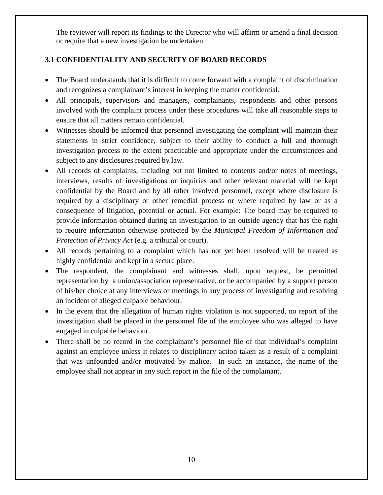The reviewer will report its findings to the Director who will affirm or amend a final decision or require that a new investigation be undertaken.

### **3.1 CONFIDENTIALITY AND SECURITY OF BOARD RECORDS**

- The Board understands that it is difficult to come forward with a complaint of discrimination and recognizes a complainant's interest in keeping the matter confidential.
- All principals, supervisors and managers, complainants, respondents and other persons involved with the complaint process under these procedures will take all reasonable steps to ensure that all matters remain confidential.
- Witnesses should be informed that personnel investigating the complaint will maintain their statements in strict confidence, subject to their ability to conduct a full and thorough investigation process to the extent practicable and appropriate under the circumstances and subject to any disclosures required by law.
- All records of complaints, including but not limited to contents and/or notes of meetings, interviews, results of investigations or inquiries and other relevant material will be kept confidential by the Board and by all other involved personnel, except where disclosure is required by a disciplinary or other remedial process or where required by law or as a consequence of litigation, potential or actual. For example: The board may be required to provide information obtained during an investigation to an outside agency that has the right to require information otherwise protected by the *Municipal Freedom of Information and Protection of Privacy Act* (e.g. a tribunal or court).
- All records pertaining to a complaint which has not yet been resolved will be treated as highly confidential and kept in a secure place.
- The respondent, the complainant and witnesses shall, upon request, be permitted representation by a union/association representative, or be accompanied by a support person of his/her choice at any interviews or meetings in any process of investigating and resolving an incident of alleged culpable behaviour.
- In the event that the allegation of human rights violation is not supported, no report of the investigation shall be placed in the personnel file of the employee who was alleged to have engaged in culpable behaviour.
- There shall be no record in the complainant's personnel file of that individual's complaint against an employee unless it relates to disciplinary action taken as a result of a complaint that was unfounded and/or motivated by malice. In such an instance, the name of the employee shall not appear in any such report in the file of the complainant.